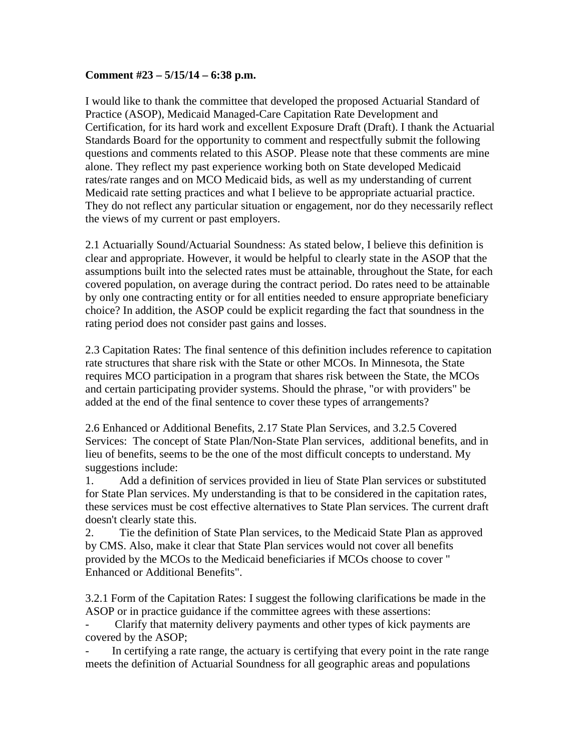## **Comment #23 – 5/15/14 – 6:38 p.m.**

I would like to thank the committee that developed the proposed Actuarial Standard of Practice (ASOP), Medicaid Managed-Care Capitation Rate Development and Certification, for its hard work and excellent Exposure Draft (Draft). I thank the Actuarial Standards Board for the opportunity to comment and respectfully submit the following questions and comments related to this ASOP. Please note that these comments are mine alone. They reflect my past experience working both on State developed Medicaid rates/rate ranges and on MCO Medicaid bids, as well as my understanding of current Medicaid rate setting practices and what I believe to be appropriate actuarial practice. They do not reflect any particular situation or engagement, nor do they necessarily reflect the views of my current or past employers.

2.1 Actuarially Sound/Actuarial Soundness: As stated below, I believe this definition is clear and appropriate. However, it would be helpful to clearly state in the ASOP that the assumptions built into the selected rates must be attainable, throughout the State, for each covered population, on average during the contract period. Do rates need to be attainable by only one contracting entity or for all entities needed to ensure appropriate beneficiary choice? In addition, the ASOP could be explicit regarding the fact that soundness in the rating period does not consider past gains and losses.

2.3 Capitation Rates: The final sentence of this definition includes reference to capitation rate structures that share risk with the State or other MCOs. In Minnesota, the State requires MCO participation in a program that shares risk between the State, the MCOs and certain participating provider systems. Should the phrase, "or with providers" be added at the end of the final sentence to cover these types of arrangements?

2.6 Enhanced or Additional Benefits, 2.17 State Plan Services, and 3.2.5 Covered Services: The concept of State Plan/Non-State Plan services, additional benefits, and in lieu of benefits, seems to be the one of the most difficult concepts to understand. My suggestions include:

1. Add a definition of services provided in lieu of State Plan services or substituted for State Plan services. My understanding is that to be considered in the capitation rates, these services must be cost effective alternatives to State Plan services. The current draft doesn't clearly state this.

2. Tie the definition of State Plan services, to the Medicaid State Plan as approved by CMS. Also, make it clear that State Plan services would not cover all benefits provided by the MCOs to the Medicaid beneficiaries if MCOs choose to cover " Enhanced or Additional Benefits".

3.2.1 Form of the Capitation Rates: I suggest the following clarifications be made in the ASOP or in practice guidance if the committee agrees with these assertions:

- Clarify that maternity delivery payments and other types of kick payments are covered by the ASOP;

In certifying a rate range, the actuary is certifying that every point in the rate range meets the definition of Actuarial Soundness for all geographic areas and populations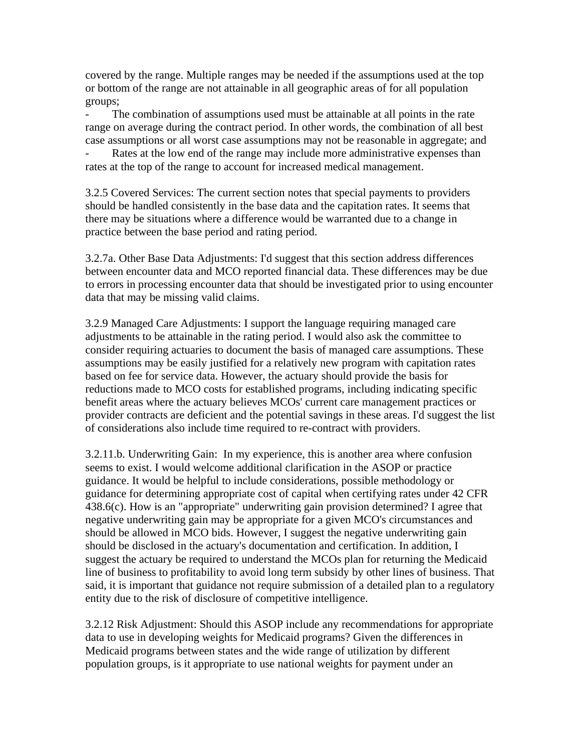covered by the range. Multiple ranges may be needed if the assumptions used at the top or bottom of the range are not attainable in all geographic areas of for all population groups;

The combination of assumptions used must be attainable at all points in the rate range on average during the contract period. In other words, the combination of all best case assumptions or all worst case assumptions may not be reasonable in aggregate; and Rates at the low end of the range may include more administrative expenses than

rates at the top of the range to account for increased medical management.

3.2.5 Covered Services: The current section notes that special payments to providers should be handled consistently in the base data and the capitation rates. It seems that there may be situations where a difference would be warranted due to a change in practice between the base period and rating period.

3.2.7a. Other Base Data Adjustments: I'd suggest that this section address differences between encounter data and MCO reported financial data. These differences may be due to errors in processing encounter data that should be investigated prior to using encounter data that may be missing valid claims.

3.2.9 Managed Care Adjustments: I support the language requiring managed care adjustments to be attainable in the rating period. I would also ask the committee to consider requiring actuaries to document the basis of managed care assumptions. These assumptions may be easily justified for a relatively new program with capitation rates based on fee for service data. However, the actuary should provide the basis for reductions made to MCO costs for established programs, including indicating specific benefit areas where the actuary believes MCOs' current care management practices or provider contracts are deficient and the potential savings in these areas. I'd suggest the list of considerations also include time required to re-contract with providers.

3.2.11.b. Underwriting Gain: In my experience, this is another area where confusion seems to exist. I would welcome additional clarification in the ASOP or practice guidance. It would be helpful to include considerations, possible methodology or guidance for determining appropriate cost of capital when certifying rates under 42 CFR 438.6(c). How is an "appropriate" underwriting gain provision determined? I agree that negative underwriting gain may be appropriate for a given MCO's circumstances and should be allowed in MCO bids. However, I suggest the negative underwriting gain should be disclosed in the actuary's documentation and certification. In addition, I suggest the actuary be required to understand the MCOs plan for returning the Medicaid line of business to profitability to avoid long term subsidy by other lines of business. That said, it is important that guidance not require submission of a detailed plan to a regulatory entity due to the risk of disclosure of competitive intelligence.

3.2.12 Risk Adjustment: Should this ASOP include any recommendations for appropriate data to use in developing weights for Medicaid programs? Given the differences in Medicaid programs between states and the wide range of utilization by different population groups, is it appropriate to use national weights for payment under an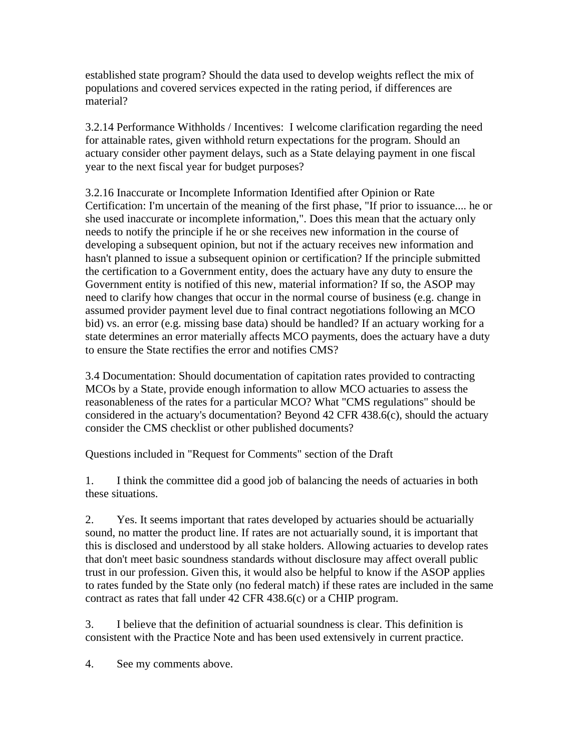established state program? Should the data used to develop weights reflect the mix of populations and covered services expected in the rating period, if differences are material?

3.2.14 Performance Withholds / Incentives: I welcome clarification regarding the need for attainable rates, given withhold return expectations for the program. Should an actuary consider other payment delays, such as a State delaying payment in one fiscal year to the next fiscal year for budget purposes?

3.2.16 Inaccurate or Incomplete Information Identified after Opinion or Rate Certification: I'm uncertain of the meaning of the first phase, "If prior to issuance.... he or she used inaccurate or incomplete information,". Does this mean that the actuary only needs to notify the principle if he or she receives new information in the course of developing a subsequent opinion, but not if the actuary receives new information and hasn't planned to issue a subsequent opinion or certification? If the principle submitted the certification to a Government entity, does the actuary have any duty to ensure the Government entity is notified of this new, material information? If so, the ASOP may need to clarify how changes that occur in the normal course of business (e.g. change in assumed provider payment level due to final contract negotiations following an MCO bid) vs. an error (e.g. missing base data) should be handled? If an actuary working for a state determines an error materially affects MCO payments, does the actuary have a duty to ensure the State rectifies the error and notifies CMS?

3.4 Documentation: Should documentation of capitation rates provided to contracting MCOs by a State, provide enough information to allow MCO actuaries to assess the reasonableness of the rates for a particular MCO? What "CMS regulations" should be considered in the actuary's documentation? Beyond 42 CFR 438.6(c), should the actuary consider the CMS checklist or other published documents?

Questions included in "Request for Comments" section of the Draft

1. I think the committee did a good job of balancing the needs of actuaries in both these situations.

2. Yes. It seems important that rates developed by actuaries should be actuarially sound, no matter the product line. If rates are not actuarially sound, it is important that this is disclosed and understood by all stake holders. Allowing actuaries to develop rates that don't meet basic soundness standards without disclosure may affect overall public trust in our profession. Given this, it would also be helpful to know if the ASOP applies to rates funded by the State only (no federal match) if these rates are included in the same contract as rates that fall under 42 CFR 438.6(c) or a CHIP program.

3. I believe that the definition of actuarial soundness is clear. This definition is consistent with the Practice Note and has been used extensively in current practice.

4. See my comments above.